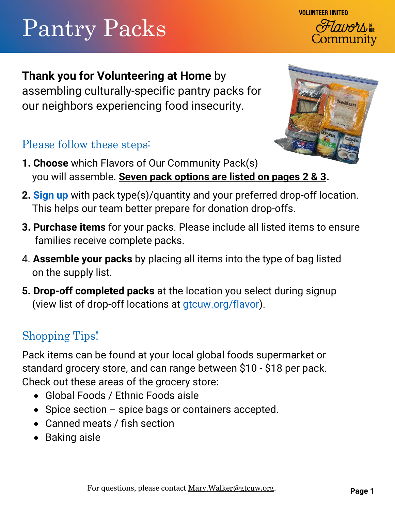# Pantry Packs

**Thank you for Volunteering at Home** by assembling culturally-specific pantry packs for

our neighbors experiencing food insecurity.

### Please follow these steps:

- **1. Choose** which Flavors of Our Community Pack(s) you will assemble. **Seven pack options are listed on pages 2 & 3.**
- **2. [Sign up](https://www.gtcuw.org/get-involved/volunteer/volunteer-at-home/flavors-of-our-community/registration/)** with pack type(s)/quantity and your preferred drop-off location. This helps our team better prepare for donation drop-offs.
- **3. Purchase items** for your packs. Please include all listed items to ensure families receive complete packs.
- 4. **Assemble your packs** by placing all items into the type of bag listed on the supply list.
- **5. Drop-off completed packs** at the location you select during signup (view list of drop-off locations at **gtcuw.org/flavor**).

### Shopping Tips!

Pack items can be found at your local global foods supermarket or standard grocery store, and can range between \$10 - \$18 per pack. Check out these areas of the grocery store:

- Global Foods / Ethnic Foods aisle
- Spice section spice bags or containers accepted.
- Canned meats / fish section
- Baking aisle



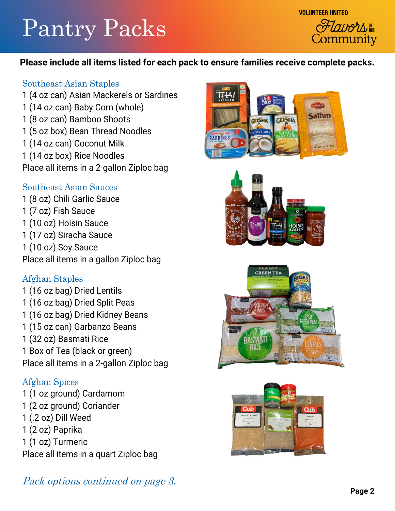# Pantry Packs



#### **Please include all items listed for each pack to ensure families receive complete packs.**

#### Southeast Asian Staples

1 (4 oz can) Asian Mackerels or Sardines 1 (14 oz can) Baby Corn (whole) 1 (8 oz can) Bamboo Shoots 1 (5 oz box) Bean Thread Noodles 1 (14 oz can) Coconut Milk 1 (14 oz box) Rice Noodles Place all items in a 2-gallon Ziploc bag

#### Southeast Asian Sauces

1 (8 oz) Chili Garlic Sauce 1 (7 oz) Fish Sauce 1 (10 oz) Hoisin Sauce 1 (17 oz) Siracha Sauce 1 (10 oz) Soy Sauce Place all items in a gallon Ziploc bag

#### Afghan Staples

1 (16 oz bag) Dried Lentils 1 (16 oz bag) Dried Split Peas 1 (16 oz bag) Dried Kidney Beans 1 (15 oz can) Garbanzo Beans 1 (32 oz) Basmati Rice 1 Box of Tea (black or green) Place all items in a 2-gallon Ziploc bag

#### Afghan Spices

1 (1 oz ground) Cardamom 1 (2 oz ground) Coriander 1 (.2 oz) Dill Weed 1 (2 oz) Paprika 1 (1 oz) Turmeric Place all items in a quart Ziploc bag









#### Pack options continued on page 3.